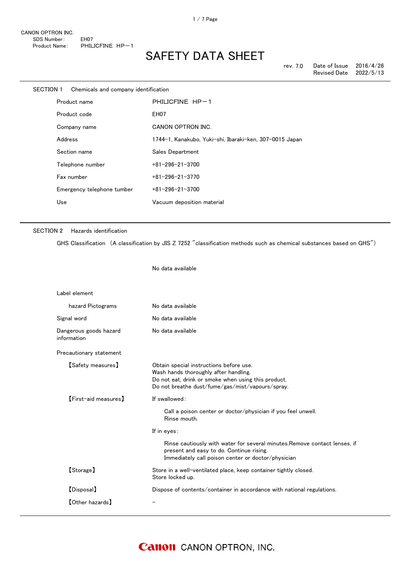| SECTION 1 |         | Chemicals and company identification |                                                         |
|-----------|---------|--------------------------------------|---------------------------------------------------------|
|           |         | Product name                         | PHILICFINE HP-1                                         |
|           |         | Product code                         | EH <sub>07</sub>                                        |
|           |         | Company name                         | CANON OPTRON INC.                                       |
|           | Address |                                      | 1744-1, Kanakubo, Yuki-shi, Ibaraki-ken, 307-0015 Japan |
|           |         | Section name                         | Sales Department                                        |
|           |         | Telephone number                     | $+81 - 296 - 21 - 3700$                                 |
|           |         | Fax number                           | $+81 - 296 - 21 - 3770$                                 |
|           |         | Emergency telephone tumber           | $+81 - 296 - 21 - 3700$                                 |
|           | Use     |                                      | Vacuum deposition material                              |
|           |         |                                      |                                                         |

No data available

#### SECTION 2 Hazards identification

GHS Classification (A classification by JIS Z 7252 "classification methods such as chemical substances based on GHS")

| Label element                         |                                                                                                                                                                                             |
|---------------------------------------|---------------------------------------------------------------------------------------------------------------------------------------------------------------------------------------------|
| hazard Pictograms                     | No data available                                                                                                                                                                           |
| Signal word                           | No data available                                                                                                                                                                           |
| Dangerous goods hazard<br>information | No data available                                                                                                                                                                           |
| Precautionary statement               |                                                                                                                                                                                             |
| <b>【Safety measures】</b>              | Obtain special instructions before use.<br>Wash hands thoroughly after handling.<br>Do not eat, drink or smoke when using this product.<br>Do not breathe dust/fume/gas/mist/vapours/spray. |
| <b>[First-aid measures]</b>           | If swallowed:                                                                                                                                                                               |
|                                       | Call a poison center or doctor/physician if you feel unwell.<br>Rinse mouth.                                                                                                                |
|                                       | If in eyes:                                                                                                                                                                                 |
|                                       | Rinse cautiously with water for several minutes. Remove contact lenses, if<br>present and easy to do. Continue rising.<br>Immediately call poison center or doctor/physician                |
| [Storage]                             | Store in a well-ventilated place, keep container tightly closed.<br>Store locked up.                                                                                                        |
| [Disposal]                            | Dispose of contents/container in accordance with national regulations.                                                                                                                      |
| <b>[Other hazards]</b>                |                                                                                                                                                                                             |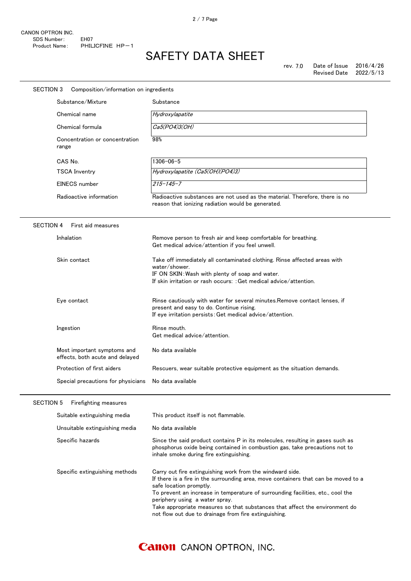# SAFETY DATA SHEET

| <b>SECTION 3</b><br>Composition/information on ingredients     |                                                                                                                                                                                                                                                                                                                                                                                                                                         |
|----------------------------------------------------------------|-----------------------------------------------------------------------------------------------------------------------------------------------------------------------------------------------------------------------------------------------------------------------------------------------------------------------------------------------------------------------------------------------------------------------------------------|
| Substance/Mixture                                              | Substance                                                                                                                                                                                                                                                                                                                                                                                                                               |
| Chemical name                                                  | Hydroxylapatite                                                                                                                                                                                                                                                                                                                                                                                                                         |
| Chemical formula                                               | Ca5(PO4)3(OH)                                                                                                                                                                                                                                                                                                                                                                                                                           |
| Concentration or concentration<br>range                        | 98%                                                                                                                                                                                                                                                                                                                                                                                                                                     |
| CAS No.                                                        | $1306 - 06 - 5$                                                                                                                                                                                                                                                                                                                                                                                                                         |
| <b>TSCA Inventry</b>                                           | Hydroxylapatite (Ca5(OH)(PO4)3)                                                                                                                                                                                                                                                                                                                                                                                                         |
| EINECS number                                                  | $215 - 145 - 7$                                                                                                                                                                                                                                                                                                                                                                                                                         |
| Radioactive information                                        | Radioactive substances are not used as the material. Therefore, there is no<br>reason that ionizing radiation would be generated.                                                                                                                                                                                                                                                                                                       |
| <b>SECTION 4</b><br>First aid measures                         |                                                                                                                                                                                                                                                                                                                                                                                                                                         |
| Inhalation                                                     | Remove person to fresh air and keep comfortable for breathing.<br>Get medical advice/attention if you feel unwell.                                                                                                                                                                                                                                                                                                                      |
| Skin contact                                                   | Take off immediately all contaminated clothing. Rinse affected areas with<br>water/shower.<br>IF ON SKIN: Wash with plenty of soap and water.<br>If skin irritation or rash occurs: : Get medical advice/attention.                                                                                                                                                                                                                     |
| Eye contact                                                    | Rinse cautiously with water for several minutes. Remove contact lenses, if<br>present and easy to do. Continue rising.<br>If eye irritation persists: Get medical advice/attention.                                                                                                                                                                                                                                                     |
| Ingestion                                                      | Rinse mouth.<br>Get medical advice/attention.                                                                                                                                                                                                                                                                                                                                                                                           |
| Most important symptoms and<br>effects, both acute and delayed | No data available                                                                                                                                                                                                                                                                                                                                                                                                                       |
| Protection of first aiders                                     | Rescuers, wear suitable protective equipment as the situation demands.                                                                                                                                                                                                                                                                                                                                                                  |
| Special precautions for physicians                             | No data available                                                                                                                                                                                                                                                                                                                                                                                                                       |
| <b>SECTION 5</b><br>Firefighting measures                      |                                                                                                                                                                                                                                                                                                                                                                                                                                         |
| Suitable extinguishing media                                   | This product itself is not flammable.                                                                                                                                                                                                                                                                                                                                                                                                   |
| Unsuitable extinguishing media                                 | No data available                                                                                                                                                                                                                                                                                                                                                                                                                       |
| Specific hazards                                               | Since the said product contains P in its molecules, resulting in gases such as<br>phosphorus oxide being contained in combustion gas, take precautions not to<br>inhale smoke during fire extinguishing.                                                                                                                                                                                                                                |
| Specific extinguishing methods                                 | Carry out fire extinguishing work from the windward side.<br>If there is a fire in the surrounding area, move containers that can be moved to a<br>safe location promptly.<br>To prevent an increase in temperature of surrounding facilities, etc., cool the<br>periphery using a water spray.<br>Take appropriate measures so that substances that affect the environment do<br>not flow out due to drainage from fire extinguishing. |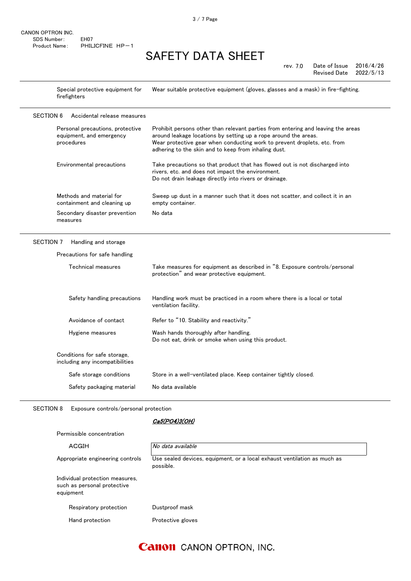Special protective equipment for firefighters Wear suitable protective equipment (gloves, glasses and a mask) in fire-fighting.

| <b>SECTION 6</b><br>Accidental release measures                            |                                                                                                                                                                                                                                                                                         |
|----------------------------------------------------------------------------|-----------------------------------------------------------------------------------------------------------------------------------------------------------------------------------------------------------------------------------------------------------------------------------------|
| Personal precautions, protective<br>equipment, and emergency<br>procedures | Prohibit persons other than relevant parties from entering and leaving the areas<br>around leakage locations by setting up a rope around the areas.<br>Wear protective gear when conducting work to prevent droplets, etc. from<br>adhering to the skin and to keep from inhaling dust. |
| Environmental precautions                                                  | Take precautions so that product that has flowed out is not discharged into<br>rivers, etc. and does not impact the environment.<br>Do not drain leakage directly into rivers or drainage.                                                                                              |
| Methods and material for<br>containment and cleaning up                    | Sweep up dust in a manner such that it does not scatter, and collect it in an<br>empty container.                                                                                                                                                                                       |
| Secondary disaster prevention<br>measures                                  | No data                                                                                                                                                                                                                                                                                 |
| <b>SECTION 7</b><br>Handling and storage                                   |                                                                                                                                                                                                                                                                                         |
| Precautions for safe handling                                              |                                                                                                                                                                                                                                                                                         |
| Technical measures                                                         | Take measures for equipment as described in "8. Exposure controls/personal<br>protection" and wear protective equipment.                                                                                                                                                                |
| Safety handling precautions                                                | Handling work must be practiced in a room where there is a local or total<br>ventilation facility.                                                                                                                                                                                      |
| Avoidance of contact                                                       | Refer to "10. Stability and reactivity."                                                                                                                                                                                                                                                |
| Hygiene measures                                                           | Wash hands thoroughly after handling.<br>Do not eat, drink or smoke when using this product.                                                                                                                                                                                            |

Conditions for safe storage, including any incompatibilities Safe storage conditions Store in a well-ventilated place. Keep container tightly closed. Safety packaging material No data available

SECTION 8 Exposure controls/personal protection

Permissible concentration

#### Ca5(PO4)3(OH)

| ACGIH                                                                       | No data available                                                                     |
|-----------------------------------------------------------------------------|---------------------------------------------------------------------------------------|
| Appropriate engineering controls                                            | Use sealed devices, equipment, or a local exhaust ventilation as much as<br>possible. |
| Individual protection measures,<br>such as personal protective<br>equipment |                                                                                       |
| Respiratory protection                                                      | Dustproof mask                                                                        |
| Hand protection                                                             | Protective gloves                                                                     |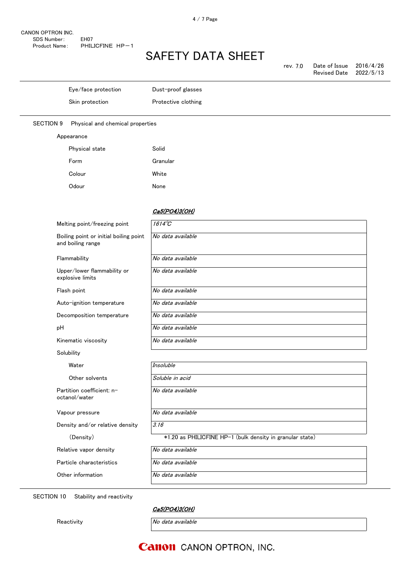| rev. 7.0 | Date of Issue       | 2016/4/26 |
|----------|---------------------|-----------|
|          | <b>Revised Date</b> | 2022/5/13 |

|                  | Eye/face protection              | Dust-proof glasses  |
|------------------|----------------------------------|---------------------|
|                  | Skin protection                  | Protective clothing |
|                  |                                  |                     |
| <b>SECTION 9</b> | Physical and chemical properties |                     |
|                  | Appearance                       |                     |
|                  | Physical state                   | Solid               |
|                  | Form                             | Granular            |
|                  | Colour                           | White               |
|                  | Odour                            | None                |

#### Ca5(PO4)3(OH)

| Melting point/freezing point                                | $1614^{\circ}C$                                           |
|-------------------------------------------------------------|-----------------------------------------------------------|
| Boiling point or initial boiling point<br>and boiling range | No data available                                         |
| Flammability                                                | No data available                                         |
| Upper/lower flammability or<br>explosive limits             | No data available                                         |
| Flash point                                                 | No data available                                         |
| Auto-ignition temperature                                   | No data available                                         |
| Decomposition temperature                                   | No data available                                         |
| рH                                                          | No data available                                         |
| Kinematic viscosity                                         | No data available                                         |
| Solubility                                                  |                                                           |
| Water                                                       | <b>Insoluble</b>                                          |
| Other solvents                                              | Soluble in acid                                           |
| Partition coefficient: n-<br>octanol/water                  | No data available                                         |
| Vapour pressure                                             | No data available                                         |
| Density and/or relative density                             | 3.16                                                      |
| (Density)                                                   | *1.20 as PHILICFINE HP-1 (bulk density in granular state) |
| Relative vapor density                                      | No data available                                         |
| Particle characteristics                                    | No data available                                         |
| Other information                                           | No data available                                         |

SECTION 10 Stability and reactivity

Ca5(PO4)3(OH)

Reactivity **No** data available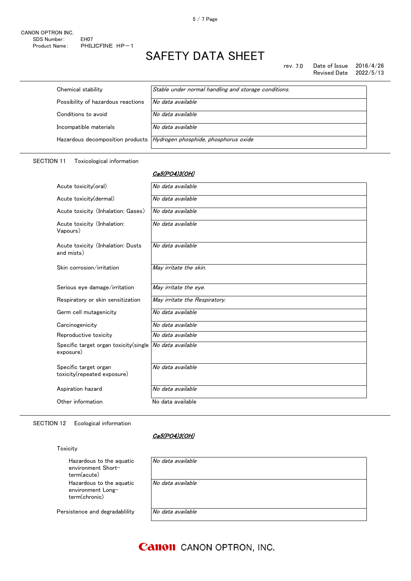rev. 7.0 Date of Issue  $2016/4/26$ Revised Date 2022/5/13

| Chemical stability                 | Stable under normal handling and storage conditions.                    |
|------------------------------------|-------------------------------------------------------------------------|
| Possibility of hazardous reactions | No data available                                                       |
| Conditions to avoid                | No data available                                                       |
| Incompatible materials             | No data available                                                       |
|                                    | Hazardous decomposition products   Hydrogen phosphide, phosphorus oxide |
|                                    |                                                                         |

Ca5(PO4)3(OH)

#### SECTION 11 Toxicological information

### Acute toxicity(oral)  $\overline{N}$  No data available Acute toxicity(dermal)  $\sqrt{N_o}$  data available Acute toxicity (Inhalation: Gases) | No data available Acute toxicity (Inhalation: Vapours) No data available Acute toxicity (Inhalation: Dusts and mists) No data available Skin corrosion/irritation  $May$  irritate the skin. Serious eye damage/irritation  $\sqrt{May\text{ }irritate\text{ }the\text{ }eye.}$ Respiratory or skin sensitization  $\parallel$  May irritate the Respiratory. Germ cell mutagenicity No data available Carcinogenicity No data available Reproductive toxicity  $\overline{N}$  No data available Specific target organ toxicity(single exposure) No data available Specific target organ toxicity(repeated exposure) No data available Aspiration hazard **No data available** Other information No data available

#### SECTION 12 Ecological information

#### Ca5(PO4)3(OH)

### Toxicity

| Hazardous to the aguatic<br>environment Short-<br>term(acute)  | No data available |
|----------------------------------------------------------------|-------------------|
| Hazardous to the aguatic<br>environment Long-<br>term(chronic) | No data available |
| Persistence and degradability                                  | No data available |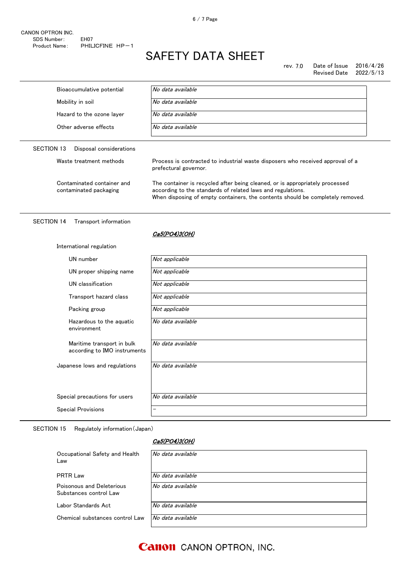#### rev. 7.0 Date of Issue 2016/4/26<br>Revised Date 2022/5/13 Revised Date

| Bioaccumulative potential                            | No data available                                                                                                                                                                                                             |  |
|------------------------------------------------------|-------------------------------------------------------------------------------------------------------------------------------------------------------------------------------------------------------------------------------|--|
| Mobility in soil                                     | No data available                                                                                                                                                                                                             |  |
| Hazard to the ozone layer                            | No data available                                                                                                                                                                                                             |  |
| Other adverse effects                                | No data available                                                                                                                                                                                                             |  |
| SECTION 13<br>Disposal considerations                |                                                                                                                                                                                                                               |  |
| Waste treatment methods                              | Process is contracted to industrial waste disposers who received approval of a<br>prefectural governor.                                                                                                                       |  |
| Contaminated container and<br>contaminated packaging | The container is recycled after being cleaned, or is appropriately processed<br>according to the standards of related laws and regulations.<br>When disposing of empty containers, the contents should be completely removed. |  |
|                                                      |                                                                                                                                                                                                                               |  |

#### SECTION 14 Transport information

International regulation

#### Ca5(PO4)3(OH)

| UN number                                                  | Not applicable    |
|------------------------------------------------------------|-------------------|
| UN proper shipping name                                    | Not applicable    |
| UN classification                                          | Not applicable    |
| Transport hazard class                                     | Not applicable    |
| Packing group                                              | Not applicable    |
| Hazardous to the aquatic<br>environment                    | No data available |
| Maritime transport in bulk<br>according to IMO instruments | No data available |
| Japanese lows and regulations                              | No data available |
| Special precautions for users                              | No data available |
| <b>Special Provisions</b>                                  |                   |

SECTION 15 Regulatoly information(Japan)

#### Ca5(PO4)3(OH)

| Occupational Safety and Health<br>Law               | No data available |
|-----------------------------------------------------|-------------------|
| <b>PRTR Law</b>                                     | No data available |
| Poisonous and Deleterious<br>Substances control Law | No data available |
| Labor Standards Act.                                | No data available |
| Chemical substances control Law                     | No data available |